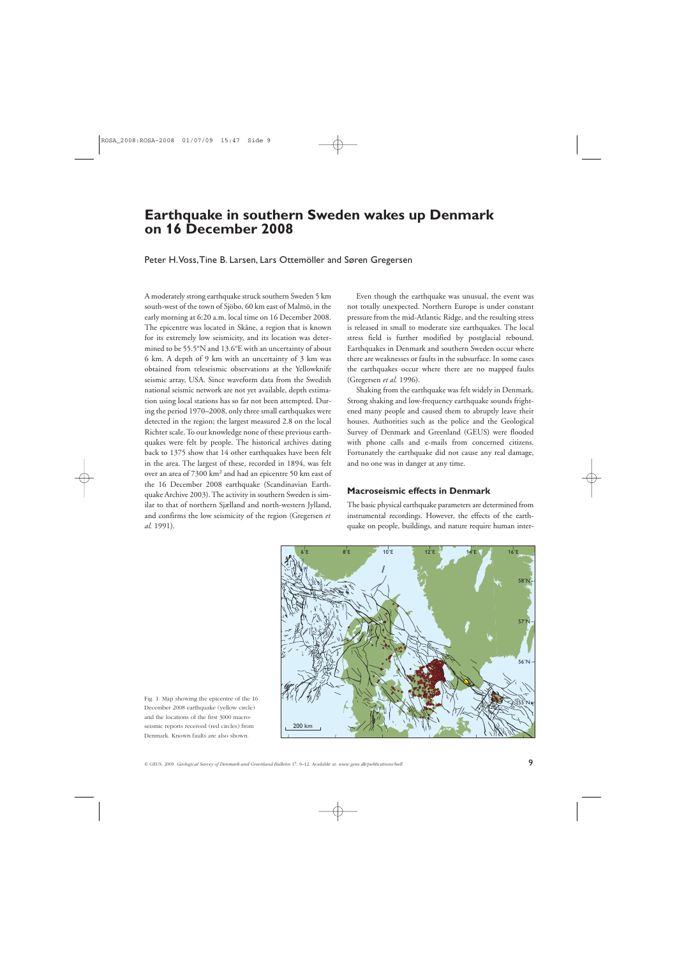# **Earthquake in southern Sweden wakes up Denmark on 16 December 2008**

Peter H. Voss, Tine B. Larsen, Lars Ottemöller and Søren Gregersen

A moderately strong earthquake struck southern Sweden 5 km south-west of the town of Sjöbo, 60 km east of Malmö, in the early morning at 6:20 a.m. local time on 16 December 2008. The epicentre was located in Skåne, a region that is known for its extremely low seismicity, and its location was determined to be 55.5°N and 13.6°E with an uncertainty of about 6 km. A depth of 9 km with an uncertainty of 3 km was obtained from teleseismic observations at the Yellowknife seismic array, USA. Since waveform data from the Swedish national seismic network are not yet available, depth estimation using local stations has so far not been attempted. During the period 1970–2008, only three small earthquakes were detected in the region; the largest measured 2.8 on the local Richter scale. To our knowledge none of these previous earthquakes were felt by people. The historical archives dating back to 1375 show that 14 other earthquakes have been felt in the area. The largest of these, recorded in 1894, was felt over an area of 7300 km<sup>2</sup> and had an epicentre 50 km east of the 16 December 2008 earthquake (Scandinavian Earthquake Archive 2003). The activity in southern Sweden is similar to that of northern Sjælland and north-western Jylland, and confirms the low seismicity of the region (Gregersen *et al.* 1991).

Even though the earthquake was unusual, the event was not totally unexpected. Northern Europe is under constant pressure from the mid-Atlantic Ridge, and the resulting stress is released in small to moderate size earthquakes. The local stress field is further modified by postglacial rebound. Earthquakes in Denmark and southern Sweden occur where there are weaknesses or faults in the subsurface. In some cases the earthquakes occur where there are no mapped faults (Gregersen *et al.* 1996).

Shaking from the earthquake was felt widely in Denmark. Strong shaking and low-frequency earthquake sounds frightened many people and caused them to abruptly leave their houses. Authorities such as the police and the Geological Survey of Denmark and Greenland (GEUS) were flooded with phone calls and e-mails from concerned citizens. Fortunately the earthquake did not cause any real damage, and no one was in danger at any time.

## **Macroseismic effects in Denmark**

The basic physical earthquake parameters are determined from instrumental recordings. However, the effects of the earthquake on people, buildings, and nature require human inter-



Fig. 1. Map showing the epicentre of the 16 December 2008 earthquake (yellow circle) and the locations of the first 3000 macroseismic reports received (red circles) from Denmark. Known faults are also shown.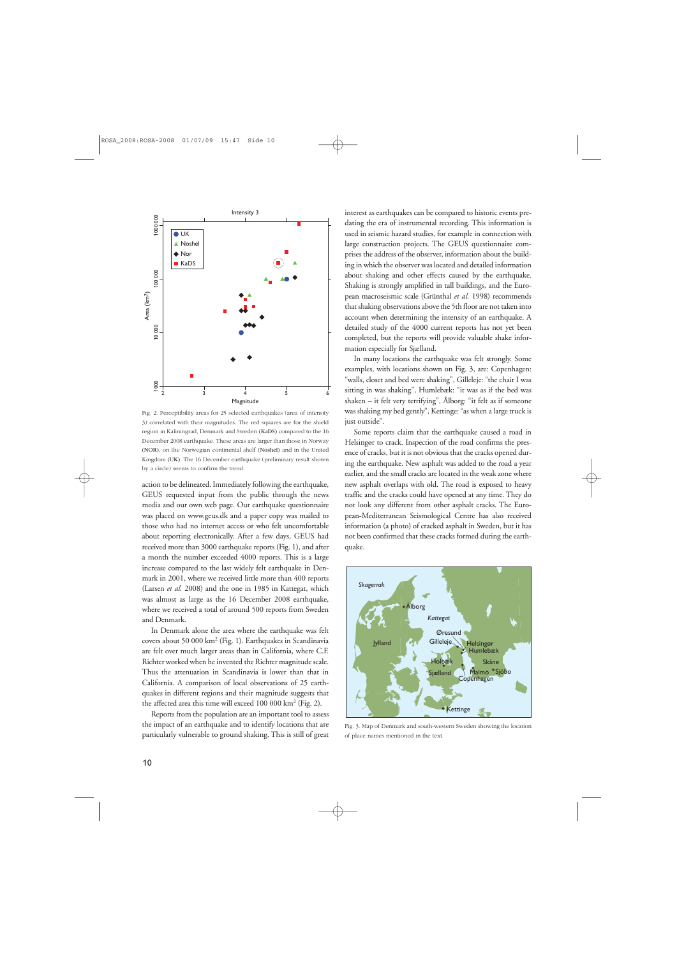

Fig. 2. Perceptibility areas for 25 selected earthquakes (area of intensity 3) correlated with their magnitudes. The red squares are for the shield region in Kaliningrad, Denmark and Sweden (KaDS) compared to the 16 December 2008 earthquake. These areas are larger than those in Norway (NOR), on the Norwegian continental shelf (Noshel) and in the United Kingdom (UK). The 16 December earthquake (preliminary result shown by a circle) seems to confirm the trend.

action to be delineated. Immediately following the earthquake, GEUS requested input from the public through the news media and our own web page. Our earthquake questionnaire was placed on www.geus.dk and a paper copy was mailed to those who had no internet access or who felt uncomfortable about reporting electronically. After a few days, GEUS had received more than 3000 earthquake reports (Fig. 1), and after a month the number exceeded 4000 reports. This is a large increase compared to the last widely felt earthquake in Denmark in 2001, where we received little more than 400 reports (Larsen *et al.* 2008) and the one in 1985 in Kattegat, which was almost as large as the 16 December 2008 earthquake, where we received a total of around 500 reports from Sweden and Denmark.

In Denmark alone the area where the earthquake was felt covers about 50 000 km2 (Fig. 1). Earthquakes in Scandinavia are felt over much larger areas than in California, where C.F. Richter worked when he invented the Richter magnitude scale. Thus the attenuation in Scandinavia is lower than that in California. A comparison of local observations of 25 earthquakes in different regions and their magnitude suggests that the affected area this time will exceed  $100\ 000\ \mathrm{km^2}$  (Fig. 2).

Reports from the population are an important tool to assess the impact of an earthquake and to identify locations that are particularly vulnerable to ground shaking. This is still of great

interest as earthquakes can be compared to historic events predating the era of instrumental recording. This information is used in seismic hazard studies, for example in connection with large construction projects. The GEUS questionnaire comprises the address of the observer, information about the building in which the observer was located and detailed information about shaking and other effects caused by the earthquake. Shaking is strongly amplified in tall buildings, and the European macroseismic scale (Grünthal *et al.* 1998) recommends that shaking observations above the 5th floor are not taken into account when determining the intensity of an earthquake. A detailed study of the 4000 current reports has not yet been completed, but the reports will provide valuable shake information especially for Sjælland.

In many locations the earthquake was felt strongly. Some examples, with locations shown on Fig. 3, are: Copenhagen: "walls, closet and bed were shaking", Gilleleje: "the chair I was sitting in was shaking", Humlebæk: "it was as if the bed was shaken – it felt very terrifying", Ålborg: "it felt as if someone was shaking my bed gently", Kettinge: "as when a large truck is just outside".

Some reports claim that the earthquake caused a road in Helsingør to crack. Inspection of the road confirms the presence of cracks, but it is not obvious that the cracks opened during the earthquake. New asphalt was added to the road a year earlier, and the small cracks are located in the weak zone where new asphalt overlaps with old. The road is exposed to heavy traffic and the cracks could have opened at any time. They do not look any different from other asphalt cracks. The European-Mediterranean Seismological Centre has also received information (a photo) of cracked asphalt in Sweden, but it has not been confirmed that these cracks formed during the earthquake.



Fig. 3. Map of Denmark and south-western Sweden showing the location of place names mentioned in the text.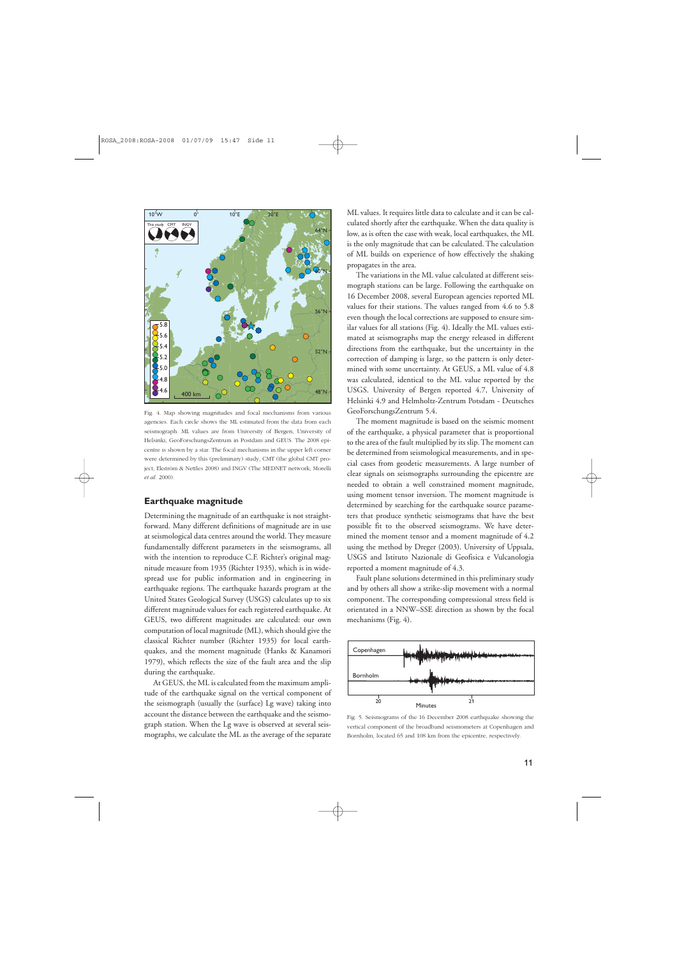

Fig. 4. Map showing magnitudes and focal mechanisms from various agencies. Each circle shows the ML estimated from the data from each seismograph. ML values are from University of Bergen, University of Helsinki, GeoForschungsZentrum in Postdam and GEUS. The 2008 epicentre is shown by a star. The focal mechanisms in the upper left corner were determined by this (preliminary) study, CMT (the global CMT project; Ekström & Nettles 2008) and INGV (The MEDNET network; Morelli *et al*. 2000).

#### **Earthquake magnitude**

Determining the magnitude of an earthquake is not straightforward. Many different definitions of magnitude are in use at seismological data centres around the world. They measure fundamentally different parameters in the seismograms, all with the intention to reproduce C.F. Richter's original magnitude measure from 1935 (Richter 1935), which is in widespread use for public information and in engineering in earthquake regions. The earthquake hazards program at the United States Geological Survey (USGS) calculates up to six different magnitude values for each registered earthquake. At GEUS, two different magnitudes are calculated: our own computation of local magnitude (ML), which should give the classical Richter number (Richter 1935) for local earthquakes, and the moment magnitude (Hanks & Kanamori 1979), which reflects the size of the fault area and the slip during the earthquake.

At GEUS, the ML is calculated from the maximum amplitude of the earthquake signal on the vertical component of the seismograph (usually the (surface) Lg wave) taking into account the distance between the earthquake and the seismograph station. When the Lg wave is observed at several seismographs, we calculate the ML as the average of the separate ML values. It requires little data to calculate and it can be calculated shortly after the earthquake. When the data quality is low, as is often the case with weak, local earthquakes, the ML is the only magnitude that can be calculated. The calculation of ML builds on experience of how effectively the shaking propagates in the area.

The variations in the ML value calculated at different seismograph stations can be large. Following the earthquake on 16 December 2008, several European agencies reported ML values for their stations. The values ranged from 4.6 to 5.8 even though the local corrections are supposed to ensure similar values for all stations (Fig. 4). Ideally the ML values estimated at seismographs map the energy released in different directions from the earthquake, but the uncertainty in the correction of damping is large, so the pattern is only determined with some uncertainty. At GEUS, a ML value of 4.8 was calculated, identical to the ML value reported by the USGS. University of Bergen reported 4.7, University of Helsinki 4.9 and Helmholtz-Zentrum Potsdam - Deutsches GeoForschungsZentrum 5.4.

The moment magnitude is based on the seismic moment of the earthquake, a physical parameter that is proportional to the area of the fault multiplied by its slip. The moment can be determined from seismological measurements, and in special cases from geodetic measurements. A large number of clear signals on seismographs surrounding the epicentre are needed to obtain a well constrained moment magnitude, using moment tensor inversion. The moment magnitude is determined by searching for the earthquake source parameters that produce synthetic seismograms that have the best possible fit to the observed seismograms. We have determined the moment tensor and a moment magnitude of 4.2 using the method by Dreger (2003). University of Uppsala, USGS and Istituto Nazionale di Geofisica e Vulcanologia reported a moment magnitude of 4.3.

Fault plane solutions determined in this preliminary study and by others all show a strike-slip movement with a normal component. The corresponding compressional stress field is orientated in a NNW–SSE direction as shown by the focal mechanisms (Fig. 4).



Fig. 5. Seismograms of the 16 December 2008 earthquake showing the vertical component of the broadband seismometers at Copenhagen and Bornholm, located 65 and 108 km from the epicentre, respectively.